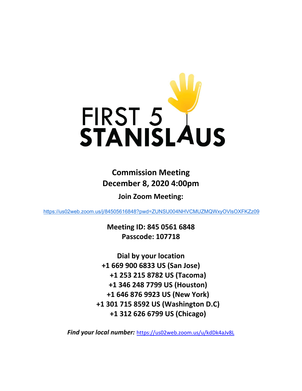

# **Commission Meeting December 8, 2020 4:00pm**

**Join Zoom Meeting:** 

https://us02web.zoom.us/j/84505616848?pwd=ZUNSU004NHVCMUZMQWxyOVlsOXFKZz09

**Meeting ID: 845 0561 6848 Passcode: 107718** 

**Dial by your location +1 669 900 6833 US (San Jose) +1 253 215 8782 US (Tacoma) +1 346 248 7799 US (Houston) +1 646 876 9923 US (New York) +1 301 715 8592 US (Washington D.C) +1 312 626 6799 US (Chicago)** 

*Find your local number:* https://us02web.zoom.us/u/kdDk4aJv8L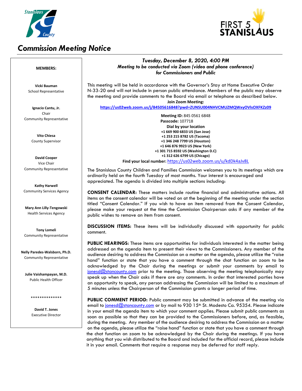

## *Commission Meeting Notice*



### *Tuesday, December 8, 2020, 4:00 PM Meeting to be conducted via Zoom (video and phone conference) for Commissioners and Public*

This meeting will be held in accordance with the Governor's Stay at Home Executive Order N-33-20 and will not include in person public attendance. Members of the public may observe the meeting and provide comments to the Board via email or telephone as described below. **Join Zoom Meeting:** 

**<https://us02web.zoom.us/j/84505616848?pwd=ZUNSU004NHVCMUZMQWxyOVlsOXFKZz09>**

**Meeting ID:** 845 0561 6848 **Passcode:** 107718 **Dial by your location +1 669 900 6833 US (San Jose) +1 253 215 8782 US (Tacoma) +1 346 248 7799 US (Houston) +1 646 876 9923 US (New York) +1 301 715 8592 US (Washington D.C) +1 312 626 6799 US (Chicago) Find your local number:** <https://us02web.zoom.us/u/kdDk4aJv8L>

The Stanislaus County Children and Families Commission welcomes you to its meetings which are ordinarily held on the fourth Tuesday of most months. Your interest is encouraged and appreciated. The agenda is divided into multiple sections including:

**CONSENT CALENDAR:** These matters include routine financial and administrative actions. All items on the consent calendar will be voted on at the beginning of the meeting under the section titled "Consent Calendar." If you wish to have an item removed from the Consent Calendar, please make your request at the time the Commission Chairperson asks if any member of the public wishes to remove an item from consent.

**DISCUSSION ITEMS:** These items will be individually discussed with opportunity for public comment.

**PUBLIC HEARINGS:** These items are opportunities for individuals interested in the matter being addressed on the agenda item to present their views to the Commissioners. Any member of the audience desiring to address the Commission on a matter on the agenda, please utilize the "raise hand" function or state that you have a comment through the chat function on zoom to be acknowledged by the Chair during the meetings or submit your comments by email to [jonesd@stancounty.com](mailto:jonesd@stancounty.com) prior to the meeting. Those observing the meeting telephonically may speak up when the Chair asks if there are any comments. In order that interested parties have an opportunity to speak, any person addressing the Commission will be limited to a maximum of 5 minutes unless the Chairperson of the Commission grants a longer period of time.

**PUBLIC COMMENT PERIOD:** Public comment may be submitted in advance of the meeting via email to [jonesd@stancounty.com](mailto:jonesd@stancounty.com) or by mail to 930 15<sup>th</sup> St. Modesto Ca. 95354. Please indicate in your email the agenda item to which your comment applies. Please submit public comments as soon as possible so that they can be provided to the Commissioners before, and, as feasible, during the meeting. Any member of the audience desiring to address the Commission on a matter on the agenda, please utilize the "raise hand" function or state that you have a comment through the chat function on zoom to be acknowledged by the Chair during the meetings. If you have anything that you wish distributed to the Board and included for the official record, please include it in your email. Comments that require a response may be deferred for staff reply.

#### **MEMBERS:**

**Vicki Bauman** School Representative

**Ignacio Cantu, Jr.** Chair Community Representative

> **Vito Chiesa** County Supervisor

**David Cooper** Vice Chair Community Representative

**Kathy Harwell** Community Services Agency

**Mary Ann Lilly-Tengowski** Health Services Agency

**Tony Lomeli** Community Representative

**Nelly Paredes-Walsborn, Ph.D.** Community Representative

**Julie Vaishampayan, M.D.** Public Health Officer

\*\*\*\*\*\*\*\*\*\*\*\*\*\*

**David T. Jones** Executive Director